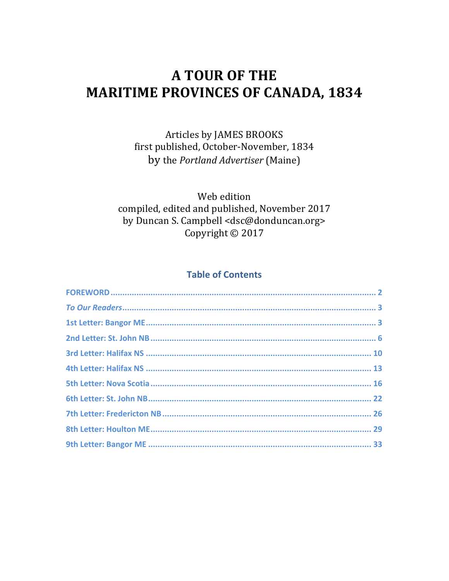# **A TOUR OF THE MARITIME PROVINCES OF CANADA, 1834**

Articles by JAMES BROOKS first published, October-November, 1834 by the Portland Advertiser (Maine)

Web edition compiled, edited and published, November 2017 by Duncan S. Campbell <dsc@donduncan.org> Copyright © 2017

#### **Table of Contents**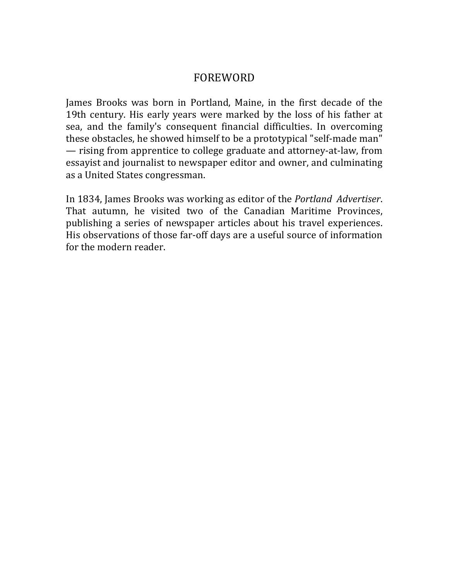#### FOREWORD

James Brooks was born in Portland, Maine, in the first decade of the 19th century. His early years were marked by the loss of his father at sea, and the family's consequent financial difficulties. In overcoming these obstacles, he showed himself to be a prototypical "self-made man" — rising from apprentice to college graduate and attorney-at-law, from essayist and journalist to newspaper editor and owner, and culminating as a United States congressman.

In 1834, James Brooks was working as editor of the *Portland Advertiser*. That autumn, he visited two of the Canadian Maritime Provinces, publishing a series of newspaper articles about his travel experiences. His observations of those far-off days are a useful source of information for the modern reader.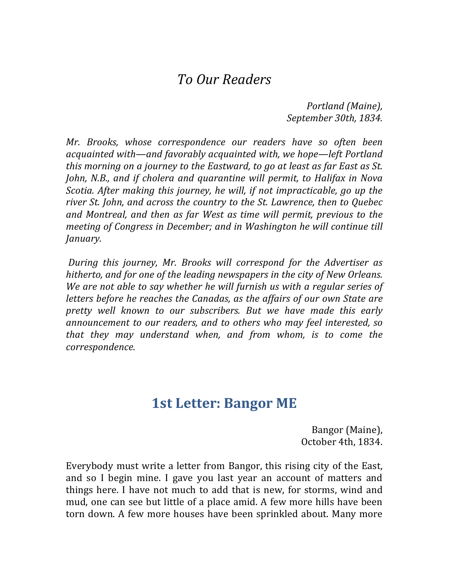### *To Our Readers*

*Portland (Maine), September 30th, 1834.*

*Mr.* Brooks, whose correspondence our readers have so often been *acquainted with—and favorably acquainted with, we hope—left Portland this* morning on a *journey to the Eastward, to go at least as far East as St. John, N.B., and if cholera and quarantine will permit, to Halifax in Nova Scotia.* After making this journey, he will, if not impracticable, go up the river St. John, and across the country to the St. Lawrence, then to Quebec *and Montreal, and then as far West as time will permit, previous to the meeting of Congress in December; and in Washington he will continue till January.*

*During this journey, Mr. Brooks will correspond for the Advertiser as* hitherto, and for one of the leading newspapers in the city of New Orleans. We are not able to say whether he will furnish us with a regular series of *letters before he reaches the Canadas, as the affairs of our own State are* pretty well known to our subscribers. But we have made this early announcement to our readers, and to others who may feel interested, so *that* they may understand when, and from whom, is to come the *correspondence.*

## **1st Letter: Bangor ME**

Bangor (Maine), October 4th, 1834.

Everybody must write a letter from Bangor, this rising city of the East, and so I begin mine. I gave you last year an account of matters and things here. I have not much to add that is new, for storms, wind and mud, one can see but little of a place amid. A few more hills have been torn down. A few more houses have been sprinkled about. Many more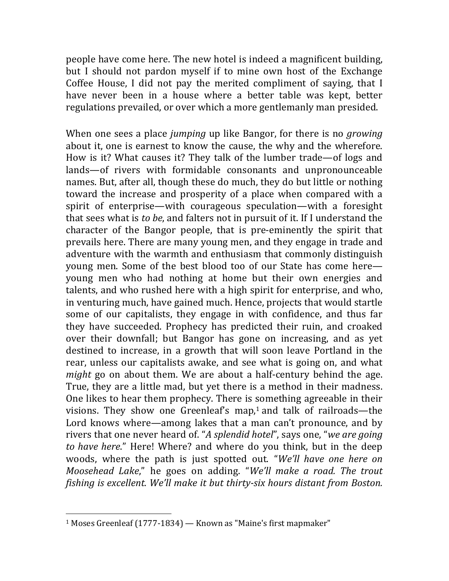people have come here. The new hotel is indeed a magnificent building, but I should not pardon myself if to mine own host of the Exchange Coffee House, I did not pay the merited compliment of saying, that I have never been in a house where a better table was kept, better regulations prevailed, or over which a more gentlemanly man presided.

When one sees a place *jumping* up like Bangor, for there is no *growing* about it, one is earnest to know the cause, the why and the wherefore. How is it? What causes it? They talk of the lumber trade—of logs and lands—of rivers with formidable consonants and unpronounceable names. But, after all, though these do much, they do but little or nothing toward the increase and prosperity of a place when compared with a spirit of enterprise—with courageous speculation—with a foresight that sees what is *to be*, and falters not in pursuit of it. If I understand the character of the Bangor people, that is pre-eminently the spirit that prevails here. There are many young men, and they engage in trade and adventure with the warmth and enthusiasm that commonly distinguish young men. Some of the best blood too of our State has come here young men who had nothing at home but their own energies and talents, and who rushed here with a high spirit for enterprise, and who, in venturing much, have gained much. Hence, projects that would startle some of our capitalists, they engage in with confidence, and thus far they have succeeded. Prophecy has predicted their ruin, and croaked over their downfall; but Bangor has gone on increasing, and as yet destined to increase, in a growth that will soon leave Portland in the rear, unless our capitalists awake, and see what is going on, and what *might* go on about them. We are about a half-century behind the age. True, they are a little mad, but yet there is a method in their madness. One likes to hear them prophecy. There is something agreeable in their visions. They show one Greenleaf's map, $1$  and talk of railroads—the Lord knows where—among lakes that a man can't pronounce, and by rivers that one never heard of. "A splendid hotel", says one, "we are going *to have here.*" Here! Where? and where do you think, but in the deep woods, where the path is just spotted out. "We'll have one here on *Moosehead Lake,*" he goes on adding. "We'll make a road. The trout *fishing is excellent. We'll make it but thirty-six hours distant from Boston.* 

 $1$  Moses Greenleaf (1777-1834) — Known as "Maine's first mapmaker"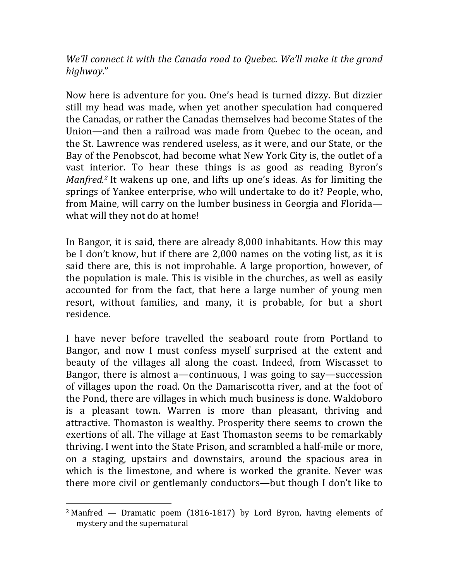*We'll connect it with the Canada road to Quebec. We'll make it the grand highway*." 

Now here is adventure for you. One's head is turned dizzy. But dizzier still my head was made, when yet another speculation had conquered the Canadas, or rather the Canadas themselves had become States of the Union—and then a railroad was made from Ouebec to the ocean, and the St. Lawrence was rendered useless, as it were, and our State, or the Bay of the Penobscot, had become what New York City is, the outlet of a vast interior. To hear these things is as good as reading Byron's *Manfred.<sup>2</sup>* It wakens up one, and lifts up one's ideas. As for limiting the springs of Yankee enterprise, who will undertake to do it? People, who, from Maine, will carry on the lumber business in Georgia and Florida what will they not do at home!

In Bangor, it is said, there are already 8,000 inhabitants. How this may be I don't know, but if there are  $2,000$  names on the voting list, as it is said there are, this is not improbable. A large proportion, however, of the population is male. This is visible in the churches, as well as easily accounted for from the fact, that here a large number of young men resort, without families, and many, it is probable, for but a short residence.

I have never before travelled the seaboard route from Portland to Bangor, and now I must confess myself surprised at the extent and beauty of the villages all along the coast. Indeed, from Wiscasset to Bangor, there is almost a—continuous, I was going to say—succession of villages upon the road. On the Damariscotta river, and at the foot of the Pond, there are villages in which much business is done. Waldoboro is a pleasant town. Warren is more than pleasant, thriving and attractive. Thomaston is wealthy. Prosperity there seems to crown the exertions of all. The village at East Thomaston seems to be remarkably thriving. I went into the State Prison, and scrambled a half-mile or more, on a staging, upstairs and downstairs, around the spacious area in which is the limestone, and where is worked the granite. Never was there more civil or gentlemanly conductors—but though I don't like to

<sup>&</sup>lt;sup>2</sup> Manfred  $-$  Dramatic poem (1816-1817) by Lord Byron, having elements of mystery and the supernatural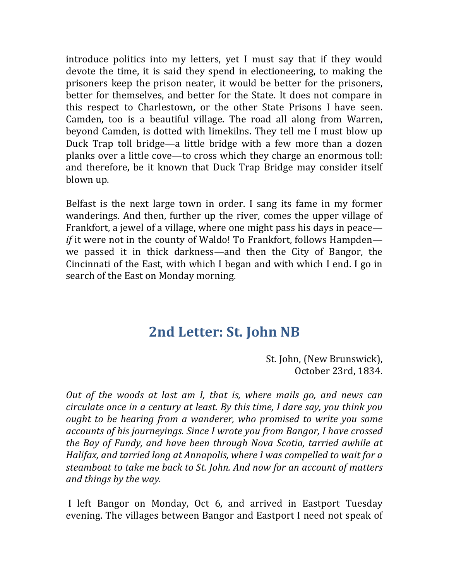introduce politics into my letters, yet I must say that if they would devote the time, it is said they spend in electioneering, to making the prisoners keep the prison neater, it would be better for the prisoners, better for themselves, and better for the State. It does not compare in this respect to Charlestown, or the other State Prisons I have seen. Camden, too is a beautiful village. The road all along from Warren, beyond Camden, is dotted with limekilns. They tell me I must blow up Duck Trap toll bridge—a little bridge with a few more than a dozen planks over a little cove—to cross which they charge an enormous toll: and therefore, be it known that Duck Trap Bridge may consider itself blown up.

Belfast is the next large town in order. I sang its fame in my former wanderings. And then, further up the river, comes the upper village of Frankfort, a jewel of a village, where one might pass his days in peace *if* it were not in the county of Waldo! To Frankfort, follows Hampden we passed it in thick darkness—and then the City of Bangor, the Cincinnati of the East, with which I began and with which I end. I go in search of the East on Monday morning.

## **2nd Letter: St. John NB**

St. John, (New Brunswick), October 23rd, 1834.

*Out* of the woods at last am I, that is, where mails go, and news can *circulate once in a century at least. By this time, I dare say, you think you ought to be hearing from a wanderer, who promised to write you some accounts of his journeyings. Since I wrote you from Bangor, I have crossed the Bay of Fundy, and have been through Nova Scotia, tarried awhile at Halifax, and tarried long at Annapolis, where I was compelled to wait for a steamboat to take me back to St. John. And now for an account of matters and things by the way.*

I left Bangor on Monday, Oct 6, and arrived in Eastport Tuesday evening. The villages between Bangor and Eastport I need not speak of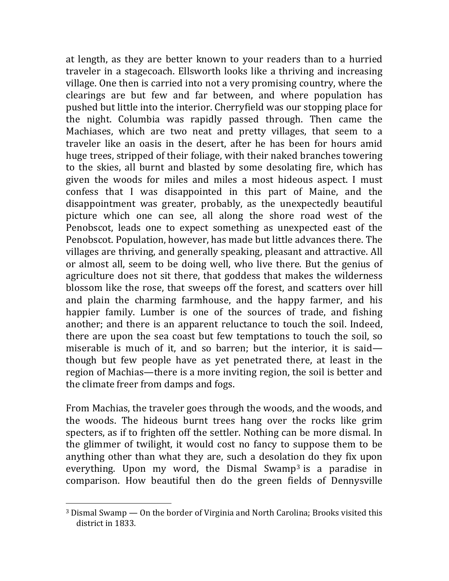at length, as they are better known to your readers than to a hurried traveler in a stagecoach. Ellsworth looks like a thriving and increasing village. One then is carried into not a very promising country, where the clearings are but few and far between, and where population has pushed but little into the interior. Cherryfield was our stopping place for the night. Columbia was rapidly passed through. Then came the Machiases, which are two neat and pretty villages, that seem to a traveler like an oasis in the desert, after he has been for hours amid huge trees, stripped of their foliage, with their naked branches towering to the skies, all burnt and blasted by some desolating fire, which has given the woods for miles and miles a most hideous aspect. I must confess that I was disappointed in this part of Maine, and the disappointment was greater, probably, as the unexpectedly beautiful picture which one can see, all along the shore road west of the Penobscot, leads one to expect something as unexpected east of the Penobscot. Population, however, has made but little advances there. The villages are thriving, and generally speaking, pleasant and attractive. All or almost all, seem to be doing well, who live there. But the genius of agriculture does not sit there, that goddess that makes the wilderness blossom like the rose, that sweeps off the forest, and scatters over hill and plain the charming farmhouse, and the happy farmer, and his happier family. Lumber is one of the sources of trade, and fishing another; and there is an apparent reluctance to touch the soil. Indeed, there are upon the sea coast but few temptations to touch the soil, so miserable is much of it, and so barren; but the interior, it is said though but few people have as yet penetrated there, at least in the region of Machias—there is a more inviting region, the soil is better and the climate freer from damps and fogs.

From Machias, the traveler goes through the woods, and the woods, and the woods. The hideous burnt trees hang over the rocks like grim specters, as if to frighten off the settler. Nothing can be more dismal. In the glimmer of twilight, it would cost no fancy to suppose them to be anything other than what they are, such a desolation do they fix upon everything. Upon my word, the Dismal Swamp<sup>3</sup> is a paradise in comparison. How beautiful then do the green fields of Dennysville

 $3$  Dismal Swamp  $-$  On the border of Virginia and North Carolina; Brooks visited this district in 1833.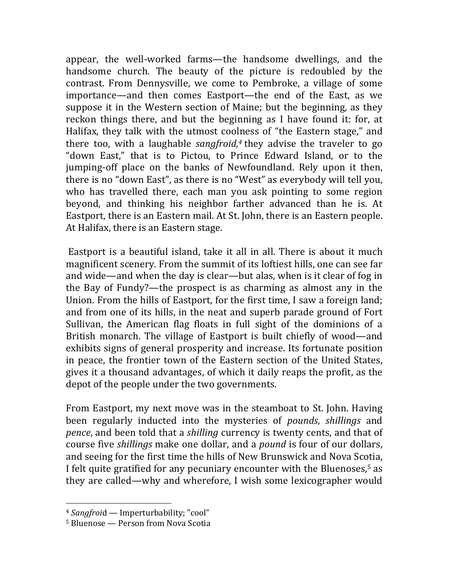appear, the well-worked farms—the handsome dwellings, and the handsome church. The beauty of the picture is redoubled by the contrast. From Dennysville, we come to Pembroke, a village of some importance—and then comes Eastport—the end of the East, as we suppose it in the Western section of Maine; but the beginning, as they reckon things there, and but the beginning as I have found it: for, at Halifax, they talk with the utmost coolness of "the Eastern stage," and there too, with a laughable *sangfroid*,<sup>4</sup> they advise the traveler to go "down East," that is to Pictou, to Prince Edward Island, or to the jumping-off place on the banks of Newfoundland. Rely upon it then, there is no "down East", as there is no "West" as everybody will tell you, who has travelled there, each man you ask pointing to some region beyond, and thinking his neighbor farther advanced than he is. At Eastport, there is an Eastern mail. At St. John, there is an Eastern people. At Halifax, there is an Eastern stage.

Eastport is a beautiful island, take it all in all. There is about it much magnificent scenery. From the summit of its loftiest hills, one can see far and wide—and when the day is clear—but alas, when is it clear of fog in the Bay of Fundy?—the prospect is as charming as almost any in the Union. From the hills of Eastport, for the first time, I saw a foreign land; and from one of its hills, in the neat and superb parade ground of Fort Sullivan, the American flag floats in full sight of the dominions of a British monarch. The village of Eastport is built chiefly of wood—and exhibits signs of general prosperity and increase. Its fortunate position in peace, the frontier town of the Eastern section of the United States, gives it a thousand advantages, of which it daily reaps the profit, as the depot of the people under the two governments.

From Eastport, my next move was in the steamboat to St. John. Having been regularly inducted into the mysteries of *pounds*, *shillings* and *pence*, and been told that a *shilling* currency is twenty cents, and that of course five *shillings* make one dollar, and a *pound* is four of our dollars, and seeing for the first time the hills of New Brunswick and Nova Scotia, I felt quite gratified for any pecuniary encounter with the Bluenoses,<sup>5</sup> as they are called—why and wherefore, I wish some lexicographer would

<sup>&</sup>lt;sup>4</sup> *Sangfroid* — Imperturbability; "cool"

 $5$  Bluenose — Person from Nova Scotia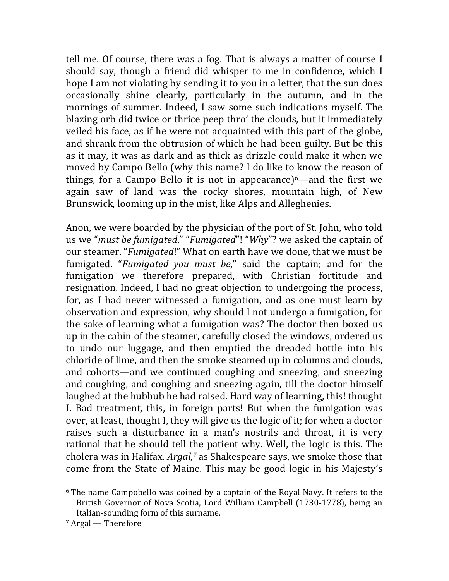tell me. Of course, there was a fog. That is always a matter of course I should say, though a friend did whisper to me in confidence, which I hope I am not violating by sending it to you in a letter, that the sun does occasionally shine clearly, particularly in the autumn, and in the mornings of summer. Indeed, I saw some such indications myself. The blazing orb did twice or thrice peep thro' the clouds, but it immediately veiled his face, as if he were not acquainted with this part of the globe, and shrank from the obtrusion of which he had been guilty. But be this as it may, it was as dark and as thick as drizzle could make it when we moved by Campo Bello (why this name? I do like to know the reason of things, for a Campo Bello it is not in appearance) $6$ —and the first we again saw of land was the rocky shores, mountain high, of New Brunswick, looming up in the mist, like Alps and Alleghenies.

Anon, we were boarded by the physician of the port of St. John, who told us we "*must be fumigated.*" "*Fumigated*"! "*Why*"? we asked the captain of our steamer. "*Fumigated*!" What on earth have we done, that we must be fumigated. "*Fumigated you must be*," said the captain; and for the fumigation we therefore prepared, with Christian fortitude and resignation. Indeed, I had no great objection to undergoing the process, for, as I had never witnessed a fumigation, and as one must learn by observation and expression, why should I not undergo a fumigation, for the sake of learning what a fumigation was? The doctor then boxed us up in the cabin of the steamer, carefully closed the windows, ordered us to undo our luggage, and then emptied the dreaded bottle into his chloride of lime, and then the smoke steamed up in columns and clouds, and cohorts—and we continued coughing and sneezing, and sneezing and coughing, and coughing and sneezing again, till the doctor himself laughed at the hubbub he had raised. Hard way of learning, this! thought I. Bad treatment, this, in foreign parts! But when the fumigation was over, at least, thought I, they will give us the logic of it; for when a doctor raises such a disturbance in a man's nostrils and throat, it is very rational that he should tell the patient why. Well, the logic is this. The cholera was in Halifax. *Argal*,<sup>7</sup> as Shakespeare says, we smoke those that come from the State of Maine. This may be good logic in his Majesty's

 $6$  The name Campobello was coined by a captain of the Royal Navy. It refers to the British Governor of Nova Scotia, Lord William Campbell (1730-1778), being an Italian-sounding form of this surname.

 $7$  Argal — Therefore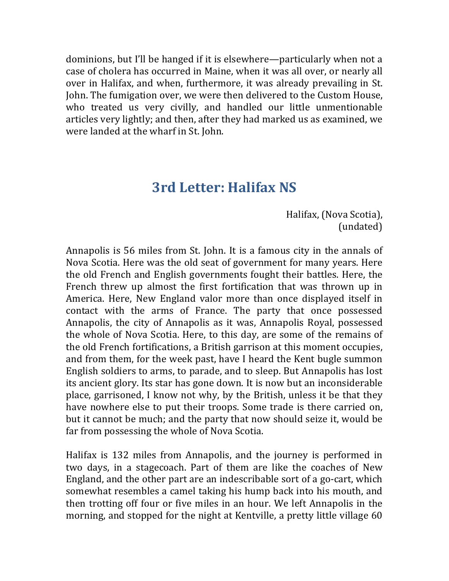dominions, but I'll be hanged if it is elsewhere—particularly when not a case of cholera has occurred in Maine, when it was all over, or nearly all over in Halifax, and when, furthermore, it was already prevailing in St. John. The fumigation over, we were then delivered to the Custom House, who treated us very civilly, and handled our little unmentionable articles very lightly; and then, after they had marked us as examined, we were landed at the wharf in St. John.

## **3rd Letter: Halifax NS**

Halifax, (Nova Scotia), (undated)

Annapolis is 56 miles from St. John. It is a famous city in the annals of Nova Scotia. Here was the old seat of government for many years. Here the old French and English governments fought their battles. Here, the French threw up almost the first fortification that was thrown up in America. Here, New England valor more than once displayed itself in contact with the arms of France. The party that once possessed Annapolis, the city of Annapolis as it was, Annapolis Royal, possessed the whole of Nova Scotia. Here, to this day, are some of the remains of the old French fortifications, a British garrison at this moment occupies, and from them, for the week past, have I heard the Kent bugle summon English soldiers to arms, to parade, and to sleep. But Annapolis has lost its ancient glory. Its star has gone down. It is now but an inconsiderable place, garrisoned, I know not why, by the British, unless it be that they have nowhere else to put their troops. Some trade is there carried on, but it cannot be much; and the party that now should seize it, would be far from possessing the whole of Nova Scotia.

Halifax is 132 miles from Annapolis, and the journey is performed in two days, in a stagecoach. Part of them are like the coaches of New England, and the other part are an indescribable sort of a go-cart, which somewhat resembles a camel taking his hump back into his mouth, and then trotting off four or five miles in an hour. We left Annapolis in the morning, and stopped for the night at Kentville, a pretty little village 60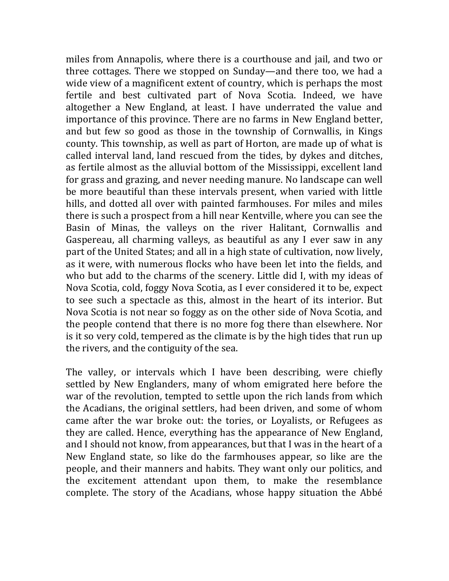miles from Annapolis, where there is a courthouse and jail, and two or three cottages. There we stopped on Sunday—and there too, we had a wide view of a magnificent extent of country, which is perhaps the most fertile and best cultivated part of Nova Scotia. Indeed, we have altogether a New England, at least. I have underrated the value and importance of this province. There are no farms in New England better, and but few so good as those in the township of Cornwallis, in Kings county. This township, as well as part of Horton, are made up of what is called interval land, land rescued from the tides, by dykes and ditches, as fertile almost as the alluvial bottom of the Mississippi, excellent land for grass and grazing, and never needing manure. No landscape can well be more beautiful than these intervals present, when varied with little hills, and dotted all over with painted farmhouses. For miles and miles there is such a prospect from a hill near Kentville, where you can see the Basin of Minas, the valleys on the river Halitant, Cornwallis and Gaspereau, all charming valleys, as beautiful as any I ever saw in any part of the United States; and all in a high state of cultivation, now lively, as it were, with numerous flocks who have been let into the fields, and who but add to the charms of the scenery. Little did I, with my ideas of Nova Scotia, cold, foggy Nova Scotia, as I ever considered it to be, expect to see such a spectacle as this, almost in the heart of its interior. But Nova Scotia is not near so foggy as on the other side of Nova Scotia, and the people contend that there is no more fog there than elsewhere. Nor is it so very cold, tempered as the climate is by the high tides that run up the rivers, and the contiguity of the sea.

The valley, or intervals which I have been describing, were chiefly settled by New Englanders, many of whom emigrated here before the war of the revolution, tempted to settle upon the rich lands from which the Acadians, the original settlers, had been driven, and some of whom came after the war broke out: the tories, or Loyalists, or Refugees as they are called. Hence, everything has the appearance of New England, and I should not know, from appearances, but that I was in the heart of a New England state, so like do the farmhouses appear, so like are the people, and their manners and habits. They want only our politics, and the excitement attendant upon them, to make the resemblance complete. The story of the Acadians, whose happy situation the Abbé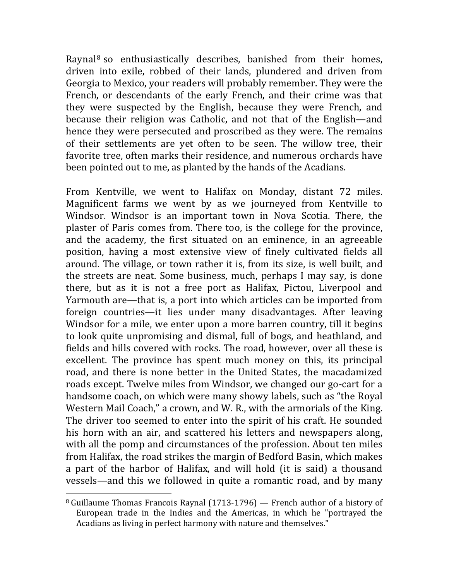Raynal<sup>8</sup> so enthusiastically describes, banished from their homes, driven into exile, robbed of their lands, plundered and driven from Georgia to Mexico, your readers will probably remember. They were the French, or descendants of the early French, and their crime was that they were suspected by the English, because they were French, and because their religion was Catholic, and not that of the English—and hence they were persecuted and proscribed as they were. The remains of their settlements are yet often to be seen. The willow tree, their favorite tree, often marks their residence, and numerous orchards have been pointed out to me, as planted by the hands of the Acadians.

From Kentville, we went to Halifax on Monday, distant 72 miles. Magnificent farms we went by as we journeyed from Kentville to Windsor. Windsor is an important town in Nova Scotia. There, the plaster of Paris comes from. There too, is the college for the province, and the academy, the first situated on an eminence, in an agreeable position, having a most extensive view of finely cultivated fields all around. The village, or town rather it is, from its size, is well built, and the streets are neat. Some business, much, perhaps I may say, is done there, but as it is not a free port as Halifax, Pictou, Liverpool and Yarmouth are—that is, a port into which articles can be imported from foreign countries—it lies under many disadvantages. After leaving Windsor for a mile, we enter upon a more barren country, till it begins to look quite unpromising and dismal, full of bogs, and heathland, and fields and hills covered with rocks. The road, however, over all these is excellent. The province has spent much money on this, its principal road, and there is none better in the United States, the macadamized roads except. Twelve miles from Windsor, we changed our go-cart for a handsome coach, on which were many showy labels, such as "the Royal Western Mail Coach," a crown, and W. R., with the armorials of the King. The driver too seemed to enter into the spirit of his craft. He sounded his horn with an air, and scattered his letters and newspapers along, with all the pomp and circumstances of the profession. About ten miles from Halifax, the road strikes the margin of Bedford Basin, which makes a part of the harbor of Halifax, and will hold (it is said) a thousand vessels—and this we followed in quite a romantic road, and by many

 $8$  Guillaume Thomas Francois Raynal (1713-1796) — French author of a history of European trade in the Indies and the Americas, in which he "portrayed the Acadians as living in perfect harmony with nature and themselves."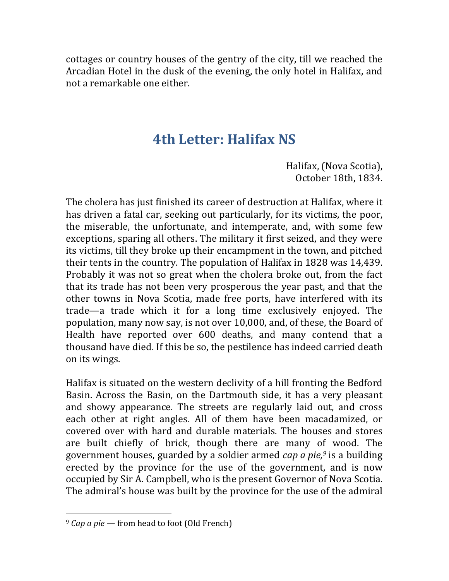cottages or country houses of the gentry of the city, till we reached the Arcadian Hotel in the dusk of the evening, the only hotel in Halifax, and not a remarkable one either.

## **4th Letter: Halifax NS**

Halifax, (Nova Scotia), October 18th, 1834.

The cholera has just finished its career of destruction at Halifax, where it has driven a fatal car, seeking out particularly, for its victims, the poor, the miserable, the unfortunate, and intemperate, and, with some few exceptions, sparing all others. The military it first seized, and they were its victims, till they broke up their encampment in the town, and pitched their tents in the country. The population of Halifax in 1828 was 14,439. Probably it was not so great when the cholera broke out, from the fact that its trade has not been very prosperous the year past, and that the other towns in Nova Scotia, made free ports, have interfered with its trade—a trade which it for a long time exclusively enjoyed. The population, many now say, is not over 10,000, and, of these, the Board of Health have reported over 600 deaths, and many contend that a thousand have died. If this be so, the pestilence has indeed carried death on its wings.

Halifax is situated on the western declivity of a hill fronting the Bedford Basin. Across the Basin, on the Dartmouth side, it has a very pleasant and showy appearance. The streets are regularly laid out, and cross each other at right angles. All of them have been macadamized, or covered over with hard and durable materials. The houses and stores are built chiefly of brick, though there are many of wood. The government houses, guarded by a soldier armed *cap a pie*,<sup>9</sup> is a building erected by the province for the use of the government, and is now occupied by Sir A. Campbell, who is the present Governor of Nova Scotia. The admiral's house was built by the province for the use of the admiral

<sup>&</sup>lt;sup>9</sup> *Cap a pie* — from head to foot (Old French)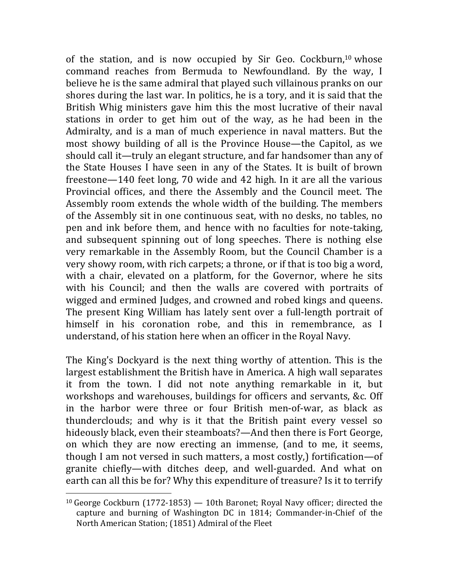of the station, and is now occupied by Sir Geo. Cockburn,<sup>10</sup> whose command reaches from Bermuda to Newfoundland. By the way, I believe he is the same admiral that played such villainous pranks on our shores during the last war. In politics, he is a tory, and it is said that the British Whig ministers gave him this the most lucrative of their naval stations in order to get him out of the way, as he had been in the Admiralty, and is a man of much experience in naval matters. But the most showy building of all is the Province House—the Capitol, as we should call it—truly an elegant structure, and far handsomer than any of the State Houses I have seen in any of the States. It is built of brown freestone—140 feet long, 70 wide and 42 high. In it are all the various Provincial offices, and there the Assembly and the Council meet. The Assembly room extends the whole width of the building. The members of the Assembly sit in one continuous seat, with no desks, no tables, no pen and ink before them, and hence with no faculties for note-taking, and subsequent spinning out of long speeches. There is nothing else very remarkable in the Assembly Room, but the Council Chamber is a very showy room, with rich carpets; a throne, or if that is too big a word, with a chair, elevated on a platform, for the Governor, where he sits with his Council; and then the walls are covered with portraits of wigged and ermined Judges, and crowned and robed kings and queens. The present King William has lately sent over a full-length portrait of himself in his coronation robe, and this in remembrance, as I understand, of his station here when an officer in the Royal Navy.

The King's Dockyard is the next thing worthy of attention. This is the largest establishment the British have in America. A high wall separates it from the town. I did not note anything remarkable in it, but workshops and warehouses, buildings for officers and servants, &c. Off in the harbor were three or four British men-of-war, as black as thunderclouds; and why is it that the British paint every vessel so hideously black, even their steamboats?—And then there is Fort George, on which they are now erecting an immense, (and to me, it seems, though I am not versed in such matters, a most costly,) fortification—of granite chiefly—with ditches deep, and well-guarded. And what on earth can all this be for? Why this expenditure of treasure? Is it to terrify

<sup>&</sup>lt;sup>10</sup> George Cockburn (1772-1853)  $-$  10th Baronet; Royal Navy officer; directed the capture and burning of Washington DC in 1814; Commander-in-Chief of the North American Station; (1851) Admiral of the Fleet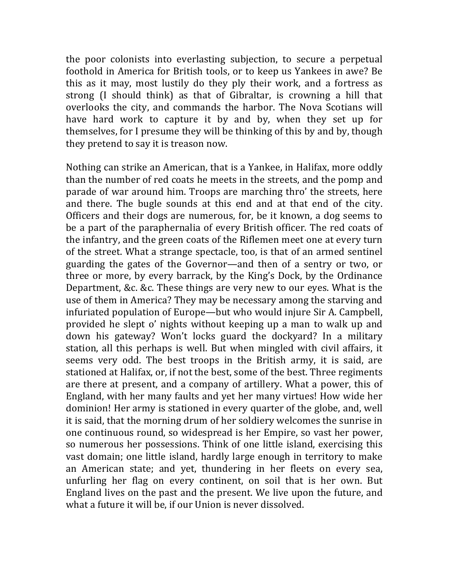the poor colonists into everlasting subjection, to secure a perpetual foothold in America for British tools, or to keep us Yankees in awe? Be this as it may, most lustily do they ply their work, and a fortress as strong (I should think) as that of Gibraltar, is crowning a hill that overlooks the city, and commands the harbor. The Nova Scotians will have hard work to capture it by and by, when they set up for themselves, for I presume they will be thinking of this by and by, though they pretend to say it is treason now.

Nothing can strike an American, that is a Yankee, in Halifax, more oddly than the number of red coats he meets in the streets, and the pomp and parade of war around him. Troops are marching thro' the streets, here and there. The bugle sounds at this end and at that end of the city. Officers and their dogs are numerous, for, be it known, a dog seems to be a part of the paraphernalia of every British officer. The red coats of the infantry, and the green coats of the Riflemen meet one at every turn of the street. What a strange spectacle, too, is that of an armed sentinel guarding the gates of the Governor—and then of a sentry or two, or three or more, by every barrack, by the King's Dock, by the Ordinance Department, &c. &c. These things are very new to our eyes. What is the use of them in America? They may be necessary among the starving and infuriated population of Europe—but who would injure Sir A. Campbell, provided he slept o' nights without keeping up a man to walk up and down his gateway? Won't locks guard the dockyard? In a military station, all this perhaps is well. But when mingled with civil affairs, it seems very odd. The best troops in the British army, it is said, are stationed at Halifax, or, if not the best, some of the best. Three regiments are there at present, and a company of artillery. What a power, this of England, with her many faults and yet her many virtues! How wide her dominion! Her army is stationed in every quarter of the globe, and, well it is said, that the morning drum of her soldiery welcomes the sunrise in one continuous round, so widespread is her Empire, so vast her power, so numerous her possessions. Think of one little island, exercising this vast domain; one little island, hardly large enough in territory to make an American state; and yet, thundering in her fleets on every sea, unfurling her flag on every continent, on soil that is her own. But England lives on the past and the present. We live upon the future, and what a future it will be, if our Union is never dissolved.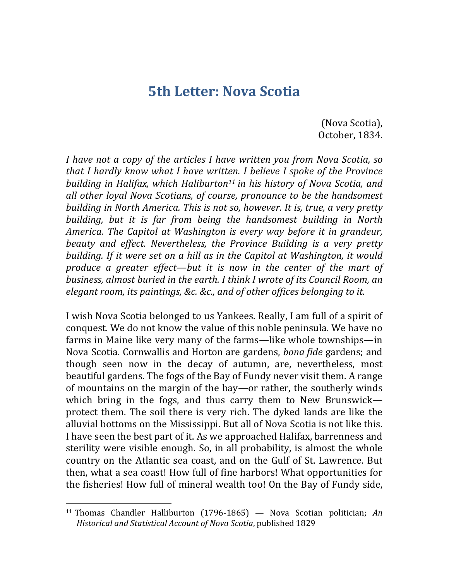### **5th Letter: Nova Scotia**

(Nova Scotia), October, 1834.

*I* have not a copy of the articles *I* have written you from Nova Scotia, so *that I hardly know what I have written. I believe I spoke of the Province building in Halifax, which Haliburton<sup>11</sup> in his history of Nova Scotia, and all other loyal Nova Scotians, of course, pronounce to be the handsomest building in North America. This is not so, however. It is, true, a very pretty building, but it is far from being the handsomest building in North America.* The Capitol at Washington is every way before it in grandeur, *beauty* and effect. Nevertheless, the Province Building is a very pretty *building.* If it were set on a hill as in the Capitol at Washington, it would *produce* a greater effect—but it is now in the center of the mart of *business, almost buried in the earth. I think I wrote of its Council Room, an* elegant room, its paintings, &c. &c., and of other offices belonging to it.

I wish Nova Scotia belonged to us Yankees. Really, I am full of a spirit of conquest. We do not know the value of this noble peninsula. We have no farms in Maine like very many of the farms—like whole townships—in Nova Scotia. Cornwallis and Horton are gardens, *bona fide* gardens; and though seen now in the decay of autumn, are, nevertheless, most beautiful gardens. The fogs of the Bay of Fundy never visit them. A range of mountains on the margin of the bay—or rather, the southerly winds which bring in the fogs, and thus carry them to New Brunswick protect them. The soil there is very rich. The dyked lands are like the alluvial bottoms on the Mississippi. But all of Nova Scotia is not like this. I have seen the best part of it. As we approached Halifax, barrenness and sterility were visible enough. So, in all probability, is almost the whole country on the Atlantic sea coast, and on the Gulf of St. Lawrence. But then, what a sea coast! How full of fine harbors! What opportunities for the fisheries! How full of mineral wealth too! On the Bay of Fundy side,

<sup>&</sup>lt;sup>11</sup> Thomas Chandler Halliburton  $(1796-1865)$  — Nova Scotian politician; *An* Historical and Statistical Account of Nova Scotia, published 1829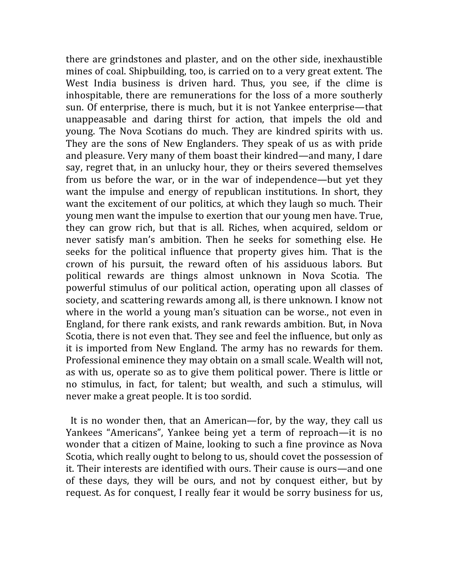there are grindstones and plaster, and on the other side, inexhaustible mines of coal. Shipbuilding, too, is carried on to a very great extent. The West India business is driven hard. Thus, you see, if the clime is inhospitable, there are remunerations for the loss of a more southerly sun. Of enterprise, there is much, but it is not Yankee enterprise—that unappeasable and daring thirst for action, that impels the old and young. The Nova Scotians do much. They are kindred spirits with us. They are the sons of New Englanders. They speak of us as with pride and pleasure. Very many of them boast their kindred—and many, I dare say, regret that, in an unlucky hour, they or theirs severed themselves from us before the war, or in the war of independence—but yet they want the impulse and energy of republican institutions. In short, they want the excitement of our politics, at which they laugh so much. Their young men want the impulse to exertion that our young men have. True, they can grow rich, but that is all. Riches, when acquired, seldom or never satisfy man's ambition. Then he seeks for something else. He seeks for the political influence that property gives him. That is the crown of his pursuit, the reward often of his assiduous labors. But political rewards are things almost unknown in Nova Scotia. The powerful stimulus of our political action, operating upon all classes of society, and scattering rewards among all, is there unknown. I know not where in the world a young man's situation can be worse., not even in England, for there rank exists, and rank rewards ambition. But, in Nova Scotia, there is not even that. They see and feel the influence, but only as it is imported from New England. The army has no rewards for them. Professional eminence they may obtain on a small scale. Wealth will not, as with us, operate so as to give them political power. There is little or no stimulus, in fact, for talent; but wealth, and such a stimulus, will never make a great people. It is too sordid.

It is no wonder then, that an American—for, by the way, they call us Yankees "Americans", Yankee being yet a term of reproach—it is no wonder that a citizen of Maine, looking to such a fine province as Nova Scotia, which really ought to belong to us, should covet the possession of it. Their interests are identified with ours. Their cause is ours—and one of these days, they will be ours, and not by conquest either, but by request. As for conquest, I really fear it would be sorry business for us,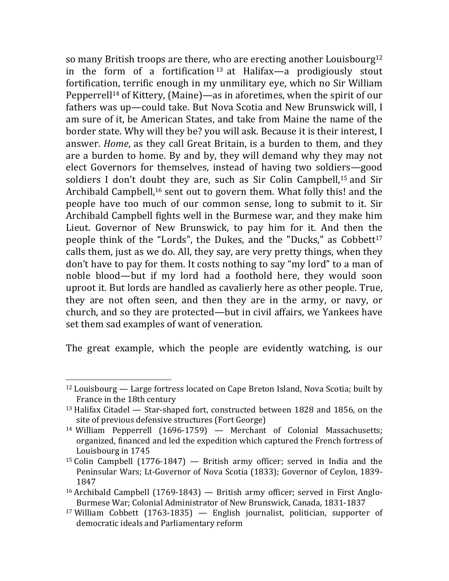so many British troops are there, who are erecting another Louisbourg<sup>12</sup> in the form of a fortification<sup>13</sup> at Halifax—a prodigiously stout fortification, terrific enough in my unmilitary eye, which no Sir William Pepperrell<sup>14</sup> of Kittery, (Maine)—as in aforetimes, when the spirit of our fathers was up-could take. But Nova Scotia and New Brunswick will, I am sure of it, be American States, and take from Maine the name of the border state. Why will they be? you will ask. Because it is their interest, I answer. *Home*, as they call Great Britain, is a burden to them, and they are a burden to home. By and by, they will demand why they may not elect Governors for themselves, instead of having two soldiers-good soldiers I don't doubt they are, such as Sir Colin Campbell, $15$  and Sir Archibald Campbell,<sup>16</sup> sent out to govern them. What folly this! and the people have too much of our common sense, long to submit to it. Sir Archibald Campbell fights well in the Burmese war, and they make him Lieut. Governor of New Brunswick, to pay him for it. And then the people think of the "Lords", the Dukes, and the "Ducks," as Cobbett<sup>17</sup> calls them, just as we do. All, they say, are very pretty things, when they don't have to pay for them. It costs nothing to say "my lord" to a man of noble blood—but if my lord had a foothold here, they would soon uproot it. But lords are handled as cavalierly here as other people. True, they are not often seen, and then they are in the army, or navy, or church, and so they are protected—but in civil affairs, we Yankees have set them sad examples of want of veneration.

The great example, which the people are evidently watching, is our

 $12$  Louisbourg — Large fortress located on Cape Breton Island, Nova Scotia; built by France in the 18th century

 $13$  Halifax Citadel  $-$  Star-shaped fort, constructed between 1828 and 1856, on the site of previous defensive structures (Fort George)

<sup>&</sup>lt;sup>14</sup> William Pepperrell  $(1696-1759)$  — Merchant of Colonial Massachusetts; organized, financed and led the expedition which captured the French fortress of Louisbourg in 1745

<sup>&</sup>lt;sup>15</sup> Colin Campbell  $(1776-1847)$  — British army officer; served in India and the Peninsular Wars; Lt-Governor of Nova Scotia (1833); Governor of Ceylon, 1839-1847

<sup>&</sup>lt;sup>16</sup> Archibald Campbell  $(1769-1843)$  — British army officer; served in First Anglo-Burmese War; Colonial Administrator of New Brunswick, Canada, 1831-1837

<sup>&</sup>lt;sup>17</sup> William Cobbett  $(1763-1835)$  — English journalist, politician, supporter of democratic ideals and Parliamentary reform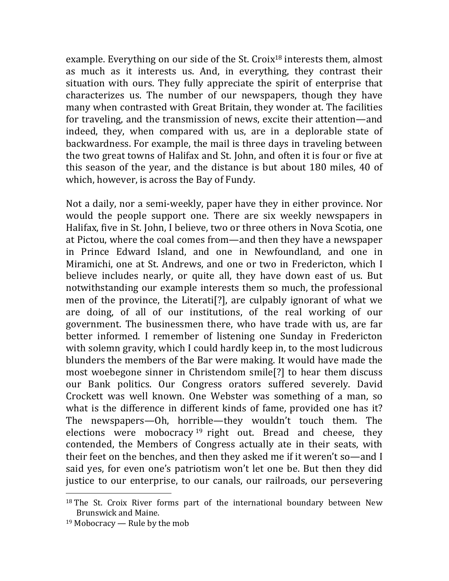example. Everything on our side of the St. Croix<sup>18</sup> interests them, almost as much as it interests us. And, in everything, they contrast their situation with ours. They fully appreciate the spirit of enterprise that characterizes us. The number of our newspapers, though they have many when contrasted with Great Britain, they wonder at. The facilities for traveling, and the transmission of news, excite their attention—and indeed, they, when compared with us, are in a deplorable state of backwardness. For example, the mail is three days in traveling between the two great towns of Halifax and St. John, and often it is four or five at this season of the year, and the distance is but about  $180$  miles,  $40$  of which, however, is across the Bay of Fundy.

Not a daily, nor a semi-weekly, paper have they in either province. Nor would the people support one. There are six weekly newspapers in Halifax, five in St. John, I believe, two or three others in Nova Scotia, one at Pictou, where the coal comes from—and then they have a newspaper in Prince Edward Island, and one in Newfoundland, and one in Miramichi, one at St. Andrews, and one or two in Fredericton, which I believe includes nearly, or quite all, they have down east of us. But notwithstanding our example interests them so much, the professional men of the province, the Literati<sup>[?]</sup>, are culpably ignorant of what we are doing, of all of our institutions, of the real working of our government. The businessmen there, who have trade with us, are far better informed. I remember of listening one Sunday in Fredericton with solemn gravity, which I could hardly keep in, to the most ludicrous blunders the members of the Bar were making. It would have made the most woebegone sinner in Christendom smile<sup>[?]</sup> to hear them discuss our Bank politics. Our Congress orators suffered severely. David Crockett was well known. One Webster was something of a man, so what is the difference in different kinds of fame, provided one has it? The newspapers—Oh, horrible—they wouldn't touch them. The elections were mobocracy <sup>19</sup> right out. Bread and cheese, they contended, the Members of Congress actually ate in their seats, with their feet on the benches, and then they asked me if it weren't so—and I said yes, for even one's patriotism won't let one be. But then they did justice to our enterprise, to our canals, our railroads, our persevering

 $18$  The St. Croix River forms part of the international boundary between New Brunswick and Maine.

 $19$  Mobocracy — Rule by the mob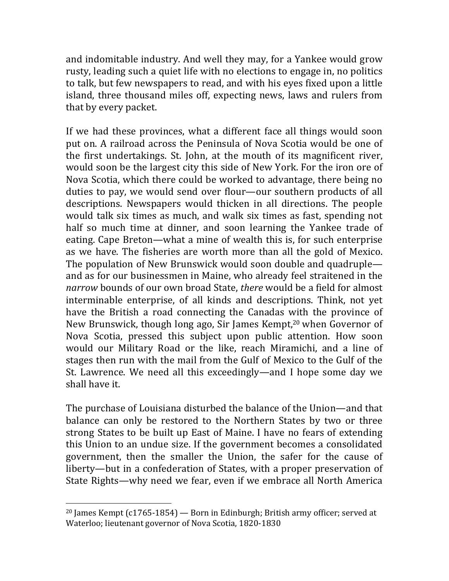and indomitable industry. And well they may, for a Yankee would grow rusty, leading such a quiet life with no elections to engage in, no politics to talk, but few newspapers to read, and with his eyes fixed upon a little island, three thousand miles off, expecting news, laws and rulers from that by every packet.

If we had these provinces, what a different face all things would soon put on. A railroad across the Peninsula of Nova Scotia would be one of the first undertakings. St. John, at the mouth of its magnificent river, would soon be the largest city this side of New York. For the iron ore of Nova Scotia, which there could be worked to advantage, there being no duties to pay, we would send over flour—our southern products of all descriptions. Newspapers would thicken in all directions. The people would talk six times as much, and walk six times as fast, spending not half so much time at dinner, and soon learning the Yankee trade of eating. Cape Breton—what a mine of wealth this is, for such enterprise as we have. The fisheries are worth more than all the gold of Mexico. The population of New Brunswick would soon double and quadruple and as for our businessmen in Maine, who already feel straitened in the *narrow* bounds of our own broad State, *there* would be a field for almost interminable enterprise, of all kinds and descriptions. Think, not yet have the British a road connecting the Canadas with the province of New Brunswick, though long ago, Sir James Kempt,<sup>20</sup> when Governor of Nova Scotia, pressed this subject upon public attention. How soon would our Military Road or the like, reach Miramichi, and a line of stages then run with the mail from the Gulf of Mexico to the Gulf of the St. Lawrence. We need all this exceedingly—and I hope some day we shall have it.

The purchase of Louisiana disturbed the balance of the Union—and that balance can only be restored to the Northern States by two or three strong States to be built up East of Maine. I have no fears of extending this Union to an undue size. If the government becomes a consolidated government, then the smaller the Union, the safer for the cause of liberty—but in a confederation of States, with a proper preservation of State Rights—why need we fear, even if we embrace all North America

<sup>&</sup>lt;sup>20</sup> James Kempt  $(c1765-1854)$  — Born in Edinburgh; British army officer; served at Waterloo; lieutenant governor of Nova Scotia, 1820-1830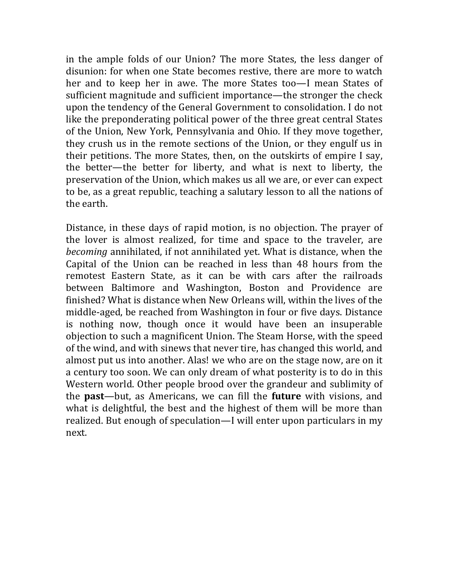in the ample folds of our Union? The more States, the less danger of disunion: for when one State becomes restive, there are more to watch her and to keep her in awe. The more States too—I mean States of sufficient magnitude and sufficient importance—the stronger the check upon the tendency of the General Government to consolidation. I do not like the preponderating political power of the three great central States of the Union, New York, Pennsylvania and Ohio. If they move together, they crush us in the remote sections of the Union, or they engulf us in their petitions. The more States, then, on the outskirts of empire I say, the better—the better for liberty, and what is next to liberty, the preservation of the Union, which makes us all we are, or ever can expect to be, as a great republic, teaching a salutary lesson to all the nations of the earth.

Distance, in these days of rapid motion, is no objection. The prayer of the lover is almost realized, for time and space to the traveler, are *becoming* annihilated, if not annihilated yet. What is distance, when the Capital of the Union can be reached in less than 48 hours from the remotest Eastern State, as it can be with cars after the railroads between Baltimore and Washington, Boston and Providence are finished? What is distance when New Orleans will, within the lives of the middle-aged, be reached from Washington in four or five days. Distance is nothing now, though once it would have been an insuperable objection to such a magnificent Union. The Steam Horse, with the speed of the wind, and with sinews that never tire, has changed this world, and almost put us into another. Alas! we who are on the stage now, are on it a century too soon. We can only dream of what posterity is to do in this Western world. Other people brood over the grandeur and sublimity of the **past**—but, as Americans, we can fill the **future** with visions, and what is delightful, the best and the highest of them will be more than realized. But enough of speculation—I will enter upon particulars in my next.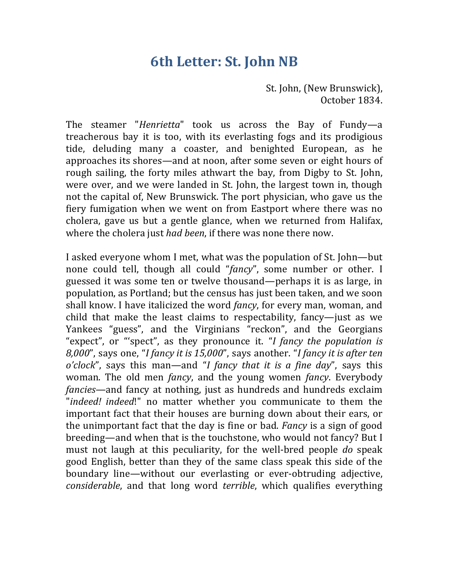## **6th Letter: St. John NB**

St. John, (New Brunswick), October 1834.

The steamer "*Henrietta*" took us across the Bay of Fundy—a treacherous bay it is too, with its everlasting fogs and its prodigious tide, deluding many a coaster, and benighted European, as he approaches its shores—and at noon, after some seven or eight hours of rough sailing, the forty miles athwart the bay, from Digby to St. John, were over, and we were landed in St. John, the largest town in, though not the capital of, New Brunswick. The port physician, who gave us the fiery fumigation when we went on from Eastport where there was no cholera, gave us but a gentle glance, when we returned from Halifax, where the cholera just *had been*, if there was none there now.

I asked everyone whom I met, what was the population of St. John—but none could tell, though all could "fancy", some number or other. I guessed it was some ten or twelve thousand—perhaps it is as large, in population, as Portland; but the census has just been taken, and we soon shall know. I have italicized the word *fancy*, for every man, woman, and child that make the least claims to respectability, fancy-just as we Yankees "guess", and the Virginians "reckon", and the Georgians "expect", or "'spect", as they pronounce it. "I fancy the population is *8,000"*, says one, "*I fancy it is 15,000"*, says another. "*I fancy it is after ten o'clock*", says this man—and "*I fancy that it is a fine day*", says this woman. The old men *fancy*, and the young women *fancy*. Everybody *fancies*—and fancy at nothing, just as hundreds and hundreds exclaim "*indeed! indeed*!" no matter whether you communicate to them the important fact that their houses are burning down about their ears, or the unimportant fact that the day is fine or bad. *Fancy* is a sign of good breeding—and when that is the touchstone, who would not fancy? But I must not laugh at this peculiarity, for the well-bred people *do* speak good English, better than they of the same class speak this side of the boundary line—without our everlasting or ever-obtruding adjective, *considerable*, and that long word *terrible*, which qualifies everything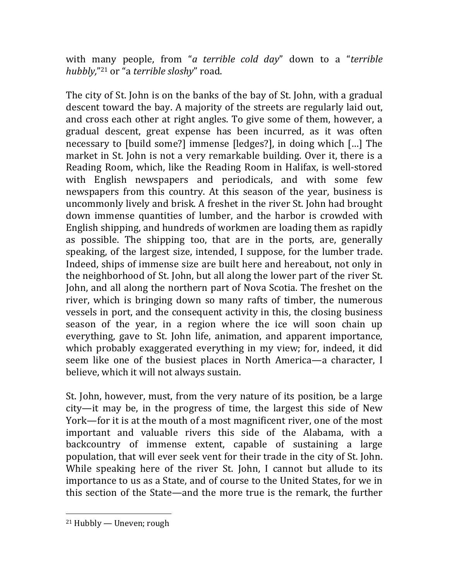with many people, from "*a* terrible cold day" down to a "terrible *hubbly*,"<sup>21</sup> or "a *terrible sloshy*" road.

The city of St. John is on the banks of the bay of St. John, with a gradual descent toward the bay. A majority of the streets are regularly laid out, and cross each other at right angles. To give some of them, however, a gradual descent, great expense has been incurred, as it was often necessary to [build some?] immense [ledges?], in doing which [...] The market in St. John is not a very remarkable building. Over it, there is a Reading Room, which, like the Reading Room in Halifax, is well-stored with English newspapers and periodicals, and with some few newspapers from this country. At this season of the year, business is uncommonly lively and brisk. A freshet in the river St. John had brought down immense quantities of lumber, and the harbor is crowded with English shipping, and hundreds of workmen are loading them as rapidly as possible. The shipping too, that are in the ports, are, generally speaking, of the largest size, intended, I suppose, for the lumber trade. Indeed, ships of immense size are built here and hereabout, not only in the neighborhood of St. John, but all along the lower part of the river St. John, and all along the northern part of Nova Scotia. The freshet on the river, which is bringing down so many rafts of timber, the numerous vessels in port, and the consequent activity in this, the closing business season of the year, in a region where the ice will soon chain up everything, gave to St. John life, animation, and apparent importance, which probably exaggerated everything in my view; for, indeed, it did seem like one of the busiest places in North America—a character, I believe, which it will not always sustain.

St. John, however, must, from the very nature of its position, be a large  $city$ —it may be, in the progress of time, the largest this side of New York—for it is at the mouth of a most magnificent river, one of the most important and valuable rivers this side of the Alabama, with a backcountry of immense extent, capable of sustaining a large population, that will ever seek vent for their trade in the city of St. John. While speaking here of the river St. John, I cannot but allude to its importance to us as a State, and of course to the United States, for we in this section of the State—and the more true is the remark, the further

  $21$  Hubbly — Uneven; rough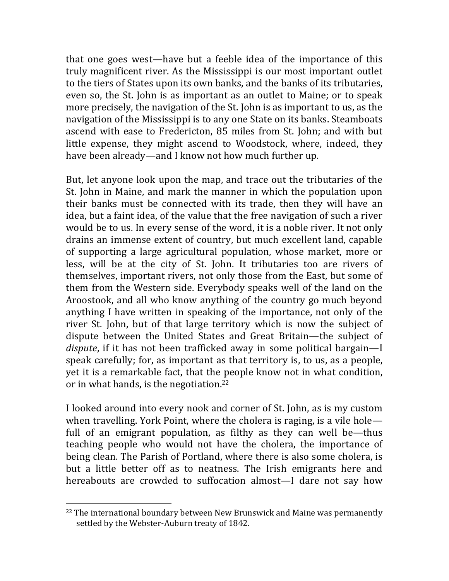that one goes west—have but a feeble idea of the importance of this truly magnificent river. As the Mississippi is our most important outlet to the tiers of States upon its own banks, and the banks of its tributaries, even so, the St. John is as important as an outlet to Maine; or to speak more precisely, the navigation of the St. John is as important to us, as the navigation of the Mississippi is to any one State on its banks. Steamboats ascend with ease to Fredericton, 85 miles from St. John; and with but little expense, they might ascend to Woodstock, where, indeed, they have been already—and I know not how much further up.

But, let anyone look upon the map, and trace out the tributaries of the St. John in Maine, and mark the manner in which the population upon their banks must be connected with its trade, then they will have an idea, but a faint idea, of the value that the free navigation of such a river would be to us. In every sense of the word, it is a noble river. It not only drains an immense extent of country, but much excellent land, capable of supporting a large agricultural population, whose market, more or less, will be at the city of St. John. It tributaries too are rivers of themselves, important rivers, not only those from the East, but some of them from the Western side. Everybody speaks well of the land on the Aroostook, and all who know anything of the country go much beyond anything I have written in speaking of the importance, not only of the river St. John, but of that large territory which is now the subject of dispute between the United States and Great Britain—the subject of *dispute*, if it has not been trafficked away in some political bargain—I speak carefully; for, as important as that territory is, to us, as a people, yet it is a remarkable fact, that the people know not in what condition, or in what hands, is the negotiation. $22$ 

I looked around into every nook and corner of St. John, as is my custom when travelling. York Point, where the cholera is raging, is a vile hole full of an emigrant population, as filthy as they can well be—thus teaching people who would not have the cholera, the importance of being clean. The Parish of Portland, where there is also some cholera, is but a little better off as to neatness. The Irish emigrants here and hereabouts are crowded to suffocation almost—I dare not say how

 $22$  The international boundary between New Brunswick and Maine was permanently settled by the Webster-Auburn treaty of 1842.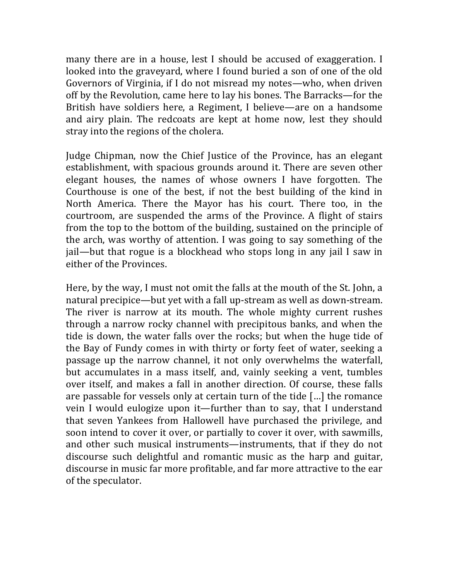many there are in a house, lest I should be accused of exaggeration. I looked into the graveyard, where I found buried a son of one of the old Governors of Virginia, if I do not misread my notes—who, when driven off by the Revolution, came here to lay his bones. The Barracks-for the British have soldiers here, a Regiment, I believe—are on a handsome and airy plain. The redcoats are kept at home now, lest they should stray into the regions of the cholera.

Judge Chipman, now the Chief Justice of the Province, has an elegant establishment, with spacious grounds around it. There are seven other elegant houses, the names of whose owners I have forgotten. The Courthouse is one of the best, if not the best building of the kind in North America. There the Mayor has his court. There too, in the courtroom, are suspended the arms of the Province. A flight of stairs from the top to the bottom of the building, sustained on the principle of the arch, was worthy of attention. I was going to say something of the jail—but that rogue is a blockhead who stops long in any jail I saw in either of the Provinces.

Here, by the way, I must not omit the falls at the mouth of the St. John, a natural precipice—but yet with a fall up-stream as well as down-stream. The river is narrow at its mouth. The whole mighty current rushes through a narrow rocky channel with precipitous banks, and when the tide is down, the water falls over the rocks; but when the huge tide of the Bay of Fundy comes in with thirty or forty feet of water, seeking a passage up the narrow channel, it not only overwhelms the waterfall, but accumulates in a mass itself, and, vainly seeking a vent, tumbles over itself, and makes a fall in another direction. Of course, these falls are passable for vessels only at certain turn of the tide  $\lceil \ldots \rceil$  the romance vein I would eulogize upon it—further than to say, that I understand that seven Yankees from Hallowell have purchased the privilege, and soon intend to cover it over, or partially to cover it over, with sawmills, and other such musical instruments—instruments, that if they do not discourse such delightful and romantic music as the harp and guitar, discourse in music far more profitable, and far more attractive to the ear of the speculator.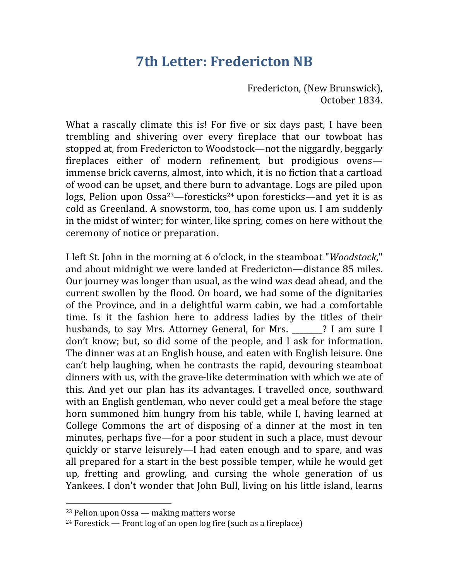## **7th Letter: Fredericton NB**

Fredericton, (New Brunswick), October 1834.

What a rascally climate this is! For five or six days past, I have been trembling and shivering over every fireplace that our towboat has stopped at, from Fredericton to Woodstock—not the niggardly, beggarly fireplaces either of modern refinement, but prodigious ovensimmense brick caverns, almost, into which, it is no fiction that a cartload of wood can be upset, and there burn to advantage. Logs are piled upon logs, Pelion upon  $0$ ssa<sup>23</sup>—foresticks<sup>24</sup> upon foresticks—and yet it is as cold as Greenland. A snowstorm, too, has come upon us. I am suddenly in the midst of winter; for winter, like spring, comes on here without the ceremony of notice or preparation.

I left St. John in the morning at 6 o'clock, in the steamboat "*Woodstock*," and about midnight we were landed at Fredericton—distance 85 miles. Our journey was longer than usual, as the wind was dead ahead, and the current swollen by the flood. On board, we had some of the dignitaries of the Province, and in a delightful warm cabin, we had a comfortable time. Is it the fashion here to address ladies by the titles of their husbands, to say Mrs. Attorney General, for Mrs. \_\_\_\_\_\_? I am sure I don't know; but, so did some of the people, and I ask for information. The dinner was at an English house, and eaten with English leisure. One can't help laughing, when he contrasts the rapid, devouring steamboat dinners with us, with the grave-like determination with which we ate of this. And yet our plan has its advantages. I travelled once, southward with an English gentleman, who never could get a meal before the stage horn summoned him hungry from his table, while I, having learned at College Commons the art of disposing of a dinner at the most in ten minutes, perhaps five—for a poor student in such a place, must devour quickly or starve leisurely—I had eaten enough and to spare, and was all prepared for a start in the best possible temper, while he would get up, fretting and growling, and cursing the whole generation of us Yankees. I don't wonder that John Bull, living on his little island, learns

 $23$  Pelion upon Ossa — making matters worse

<sup>&</sup>lt;sup>24</sup> Forestick — Front  $log of an open log fire (such as a fireplace)$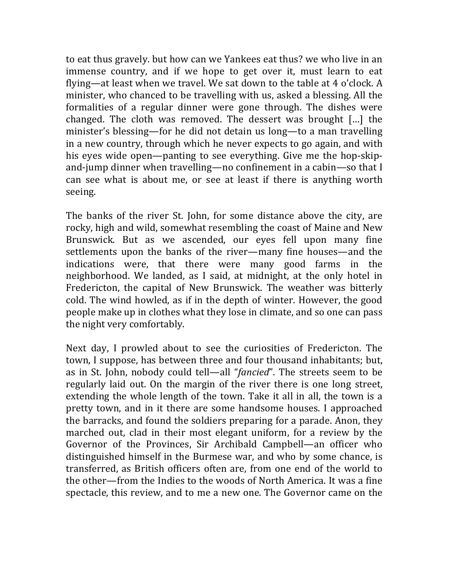to eat thus gravely. but how can we Yankees eat thus? we who live in an immense country, and if we hope to get over it, must learn to eat flying—at least when we travel. We sat down to the table at 4 o'clock. A minister, who chanced to be travelling with us, asked a blessing. All the formalities of a regular dinner were gone through. The dishes were changed. The cloth was removed. The dessert was brought  $\lceil \ldots \rceil$  the minister's blessing—for he did not detain us long—to a man travelling in a new country, through which he never expects to go again, and with his eyes wide open—panting to see everything. Give me the hop-skipand-jump dinner when travelling—no confinement in a cabin—so that I can see what is about me, or see at least if there is anything worth seeing.

The banks of the river St. John, for some distance above the city, are rocky, high and wild, somewhat resembling the coast of Maine and New Brunswick. But as we ascended, our eyes fell upon many fine settlements upon the banks of the river—many fine houses—and the indications were, that there were many good farms in the neighborhood. We landed, as I said, at midnight, at the only hotel in Fredericton, the capital of New Brunswick. The weather was bitterly cold. The wind howled, as if in the depth of winter. However, the good people make up in clothes what they lose in climate, and so one can pass the night very comfortably.

Next day, I prowled about to see the curiosities of Fredericton. The town, I suppose, has between three and four thousand inhabitants; but, as in St. John, nobody could tell—all "*fancied*". The streets seem to be regularly laid out. On the margin of the river there is one long street, extending the whole length of the town. Take it all in all, the town is a pretty town, and in it there are some handsome houses. I approached the barracks, and found the soldiers preparing for a parade. Anon, they marched out, clad in their most elegant uniform, for a review by the Governor of the Provinces, Sir Archibald Campbell—an officer who distinguished himself in the Burmese war, and who by some chance, is transferred, as British officers often are, from one end of the world to the other—from the Indies to the woods of North America. It was a fine spectacle, this review, and to me a new one. The Governor came on the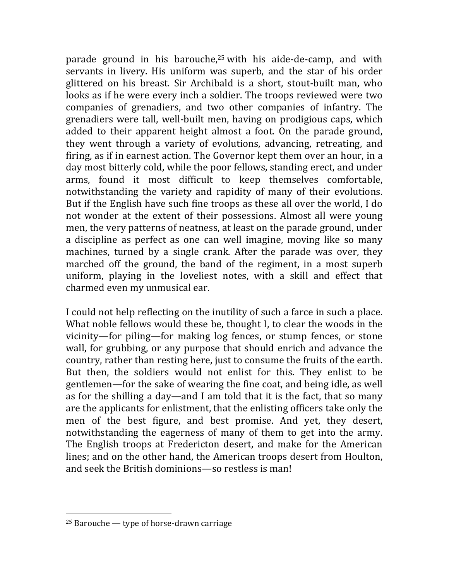parade ground in his barouche,<sup>25</sup> with his aide-de-camp, and with servants in livery. His uniform was superb, and the star of his order glittered on his breast. Sir Archibald is a short, stout-built man, who looks as if he were every inch a soldier. The troops reviewed were two companies of grenadiers, and two other companies of infantry. The grenadiers were tall, well-built men, having on prodigious caps, which added to their apparent height almost a foot. On the parade ground, they went through a variety of evolutions, advancing, retreating, and firing, as if in earnest action. The Governor kept them over an hour, in a day most bitterly cold, while the poor fellows, standing erect, and under arms, found it most difficult to keep themselves comfortable, notwithstanding the variety and rapidity of many of their evolutions. But if the English have such fine troops as these all over the world, I do not wonder at the extent of their possessions. Almost all were young men, the very patterns of neatness, at least on the parade ground, under a discipline as perfect as one can well imagine, moving like so many machines, turned by a single crank. After the parade was over, they marched off the ground, the band of the regiment, in a most superb uniform, playing in the loveliest notes, with a skill and effect that charmed even my unmusical ear.

I could not help reflecting on the inutility of such a farce in such a place. What noble fellows would these be, thought I, to clear the woods in the vicinity—for piling—for making log fences, or stump fences, or stone wall, for grubbing, or any purpose that should enrich and advance the country, rather than resting here, just to consume the fruits of the earth. But then, the soldiers would not enlist for this. They enlist to be gentlemen—for the sake of wearing the fine coat, and being idle, as well as for the shilling a day—and I am told that it is the fact, that so many are the applicants for enlistment, that the enlisting officers take only the men of the best figure, and best promise. And yet, they desert, notwithstanding the eagerness of many of them to get into the army. The English troops at Fredericton desert, and make for the American lines; and on the other hand, the American troops desert from Houlton, and seek the British dominions—so restless is man!

 $25$  Barouche — type of horse-drawn carriage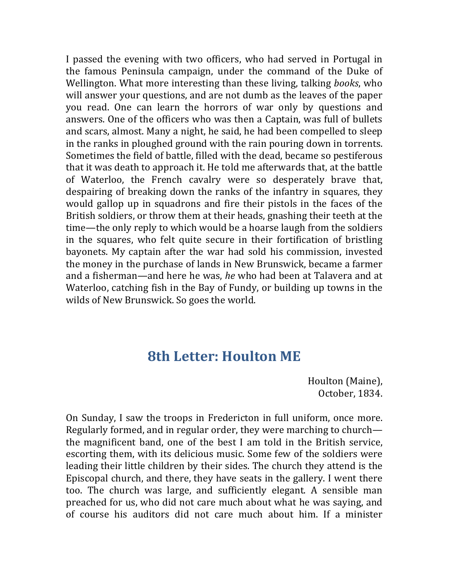I passed the evening with two officers, who had served in Portugal in the famous Peninsula campaign, under the command of the Duke of Wellington. What more interesting than these living, talking *books*, who will answer your questions, and are not dumb as the leaves of the paper you read. One can learn the horrors of war only by questions and answers. One of the officers who was then a Captain, was full of bullets and scars, almost. Many a night, he said, he had been compelled to sleep in the ranks in ploughed ground with the rain pouring down in torrents. Sometimes the field of battle, filled with the dead, became so pestiferous that it was death to approach it. He told me afterwards that, at the battle of Waterloo, the French cavalry were so desperately brave that, despairing of breaking down the ranks of the infantry in squares, they would gallop up in squadrons and fire their pistols in the faces of the British soldiers, or throw them at their heads, gnashing their teeth at the time—the only reply to which would be a hoarse laugh from the soldiers in the squares, who felt quite secure in their fortification of bristling bayonets. My captain after the war had sold his commission, invested the money in the purchase of lands in New Brunswick, became a farmer and a fisherman—and here he was, *he* who had been at Talavera and at Waterloo, catching fish in the Bay of Fundy, or building up towns in the wilds of New Brunswick. So goes the world.

### **8th Letter: Houlton ME**

Houlton (Maine), October, 1834.

On Sunday, I saw the troops in Fredericton in full uniform, once more. Regularly formed, and in regular order, they were marching to church the magnificent band, one of the best I am told in the British service, escorting them, with its delicious music. Some few of the soldiers were leading their little children by their sides. The church they attend is the Episcopal church, and there, they have seats in the gallery. I went there too. The church was large, and sufficiently elegant. A sensible man preached for us, who did not care much about what he was saying, and of course his auditors did not care much about him. If a minister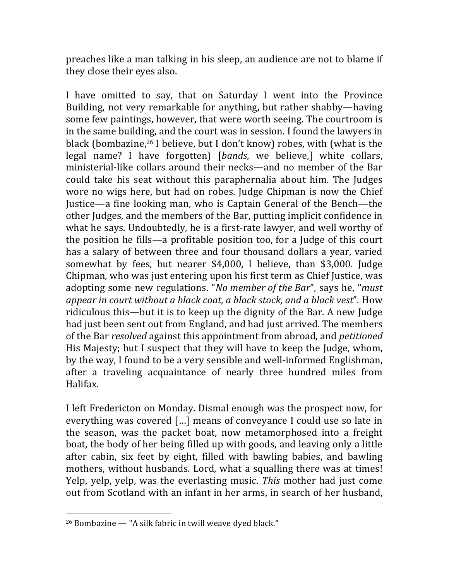preaches like a man talking in his sleep, an audience are not to blame if they close their eyes also.

I have omitted to say, that on Saturday I went into the Province Building, not very remarkable for anything, but rather shabby—having some few paintings, however, that were worth seeing. The courtroom is in the same building, and the court was in session. I found the lawyers in black (bombazine,<sup>26</sup> I believe, but I don't know) robes, with (what is the legal name? I have forgotten) [*bands*, we believe,] white collars, ministerial-like collars around their necks—and no member of the Bar could take his seat without this paraphernalia about him. The Judges wore no wigs here, but had on robes. Judge Chipman is now the Chief Justice—a fine looking man, who is Captain General of the Bench—the other Judges, and the members of the Bar, putting implicit confidence in what he says. Undoubtedly, he is a first-rate lawyer, and well worthy of the position he fills—a profitable position too, for a Judge of this court has a salary of between three and four thousand dollars a year, varied somewhat by fees, but nearer  $$4,000$ , I believe, than \$3,000. Judge Chipman, who was just entering upon his first term as Chief Justice, was adopting some new regulations. "*No member of the Bar*", says he, "*must appear in court without a black coat, a black stock, and a black vest*". How ridiculous this—but it is to keep up the dignity of the Bar. A new Judge had just been sent out from England, and had just arrived. The members of the Bar *resolved* against this appointment from abroad, and *petitioned* His Majesty; but I suspect that they will have to keep the Judge, whom, by the way, I found to be a very sensible and well-informed Englishman, after a traveling acquaintance of nearly three hundred miles from Halifax.

I left Fredericton on Monday. Dismal enough was the prospect now, for everything was covered [...] means of conveyance I could use so late in the season, was the packet boat, now metamorphosed into a freight boat, the body of her being filled up with goods, and leaving only a little after cabin, six feet by eight, filled with bawling babies, and bawling mothers, without husbands. Lord, what a squalling there was at times! Yelp, yelp, yelp, was the everlasting music. This mother had just come out from Scotland with an infant in her arms, in search of her husband,

 $26$  Bombazine  $-$  "A silk fabric in twill weave dyed black."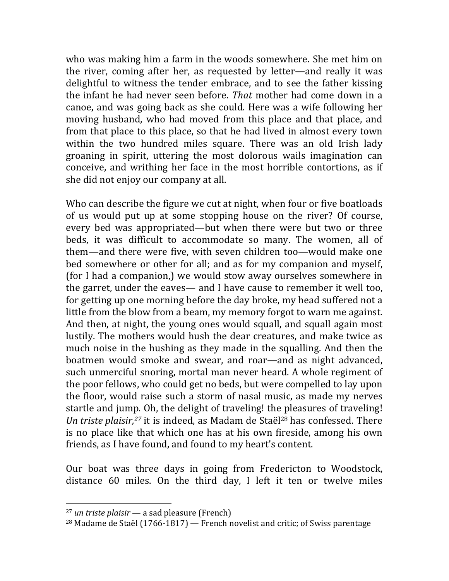who was making him a farm in the woods somewhere. She met him on the river, coming after her, as requested by letter—and really it was delightful to witness the tender embrace, and to see the father kissing the infant he had never seen before. *That* mother had come down in a canoe, and was going back as she could. Here was a wife following her moving husband, who had moved from this place and that place, and from that place to this place, so that he had lived in almost every town within the two hundred miles square. There was an old Irish lady groaning in spirit, uttering the most dolorous wails imagination can conceive, and writhing her face in the most horrible contortions, as if she did not enjoy our company at all.

Who can describe the figure we cut at night, when four or five boatloads of us would put up at some stopping house on the river? Of course, every bed was appropriated—but when there were but two or three beds, it was difficult to accommodate so many. The women, all of them—and there were five, with seven children too—would make one bed somewhere or other for all; and as for my companion and myself, (for I had a companion,) we would stow away ourselves somewhere in the garret, under the eaves— and I have cause to remember it well too, for getting up one morning before the day broke, my head suffered not a little from the blow from a beam, my memory forgot to warn me against. And then, at night, the young ones would squall, and squall again most lustily. The mothers would hush the dear creatures, and make twice as much noise in the hushing as they made in the squalling. And then the boatmen would smoke and swear, and roar—and as night advanced, such unmerciful snoring, mortal man never heard. A whole regiment of the poor fellows, who could get no beds, but were compelled to lay upon the floor, would raise such a storm of nasal music, as made my nerves startle and jump. Oh, the delight of traveling! the pleasures of traveling! Un triste plaisir,<sup>27</sup> it is indeed, as Madam de Staël<sup>28</sup> has confessed. There is no place like that which one has at his own fireside, among his own friends, as I have found, and found to my heart's content.

Our boat was three days in going from Fredericton to Woodstock, distance 60 miles. On the third day, I left it ten or twelve miles

<sup>&</sup>lt;sup>27</sup> *un triste plaisir* — a sad pleasure (French)

<sup>&</sup>lt;sup>28</sup> Madame de Staël (1766-1817) — French novelist and critic; of Swiss parentage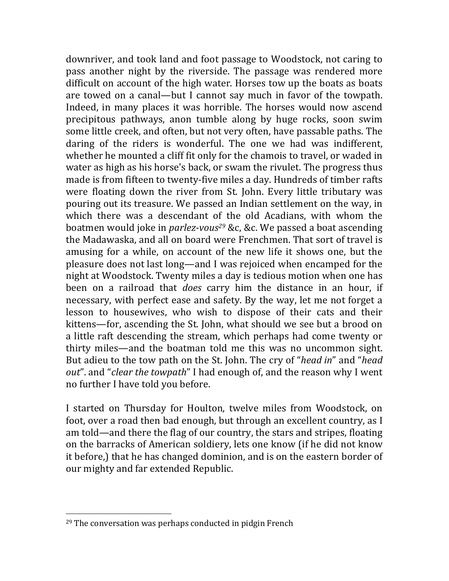downriver, and took land and foot passage to Woodstock, not caring to pass another night by the riverside. The passage was rendered more difficult on account of the high water. Horses tow up the boats as boats are towed on a canal—but I cannot say much in favor of the towpath. Indeed, in many places it was horrible. The horses would now ascend precipitous pathways, anon tumble along by huge rocks, soon swim some little creek, and often, but not very often, have passable paths. The daring of the riders is wonderful. The one we had was indifferent, whether he mounted a cliff fit only for the chamois to travel, or waded in water as high as his horse's back, or swam the rivulet. The progress thus made is from fifteen to twenty-five miles a day. Hundreds of timber rafts were floating down the river from St. John. Every little tributary was pouring out its treasure. We passed an Indian settlement on the way, in which there was a descendant of the old Acadians, with whom the boatmen would joke in *parlez-vous<sup>29</sup>* &c, &c. We passed a boat ascending the Madawaska, and all on board were Frenchmen. That sort of travel is amusing for a while, on account of the new life it shows one, but the pleasure does not last long—and I was rejoiced when encamped for the night at Woodstock. Twenty miles a day is tedious motion when one has been on a railroad that *does* carry him the distance in an hour, if necessary, with perfect ease and safety. By the way, let me not forget a lesson to housewives, who wish to dispose of their cats and their kittens—for, ascending the St. John, what should we see but a brood on a little raft descending the stream, which perhaps had come twenty or thirty miles—and the boatman told me this was no uncommon sight. But adieu to the tow path on the St. John. The cry of "*head in*" and "*head out*". and "*clear the towpath*" I had enough of, and the reason why I went no further I have told you before.

I started on Thursday for Houlton, twelve miles from Woodstock, on foot, over a road then bad enough, but through an excellent country, as I am told—and there the flag of our country, the stars and stripes, floating on the barracks of American soldiery, lets one know (if he did not know it before,) that he has changed dominion, and is on the eastern border of our mighty and far extended Republic.

 $29$  The conversation was perhaps conducted in pidgin French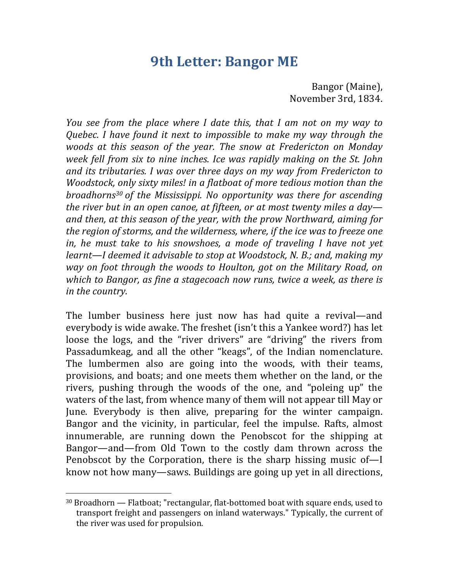## **9th Letter: Bangor ME**

Bangor (Maine), November 3rd, 1834.

*You* see from the place where I date this, that I am not on my way to *Quebec.* I have found it next to impossible to make my way through the *woods* at this season of the year. The snow at Fredericton on Monday *week fell from six to nine inches. Ice was rapidly making on the St. John* and its tributaries. I was over three days on my way from Fredericton to *Woodstock, only sixty miles! in a flatboat of more tedious motion than the broadhorns<sup>30</sup> of the Mississippi. No opportunity was there for ascending the river but in an open canoe, at fifteen, or at most twenty miles a day* and then, at this season of the year, with the prow Northward, aiming for *the region of storms, and the wilderness, where, if the ice was to freeze one in, he must take to his snowshoes, a mode of traveling I have not yet learnt—I* deemed it advisable to stop at Woodstock, N. B.; and, making my *way* on foot through the woods to Houlton, got on the Military Road, on *which to Bangor, as fine a stagecoach now runs, twice a week, as there is in the country.* 

The lumber business here just now has had quite a revival—and everybody is wide awake. The freshet (isn't this a Yankee word?) has let loose the logs, and the "river drivers" are "driving" the rivers from Passadumkeag, and all the other "keags", of the Indian nomenclature. The lumbermen also are going into the woods, with their teams, provisions, and boats; and one meets them whether on the land, or the rivers, pushing through the woods of the one, and "poleing up" the waters of the last, from whence many of them will not appear till May or June. Everybody is then alive, preparing for the winter campaign. Bangor and the vicinity, in particular, feel the impulse. Rafts, almost innumerable, are running down the Penobscot for the shipping at Bangor—and—from Old Town to the costly dam thrown across the Penobscot by the Corporation, there is the sharp hissing music of—I know not how many—saws. Buildings are going up yet in all directions,

 $30$  Broadhorn  $-$  Flatboat; "rectangular, flat-bottomed boat with square ends, used to transport freight and passengers on inland waterways." Typically, the current of the river was used for propulsion.